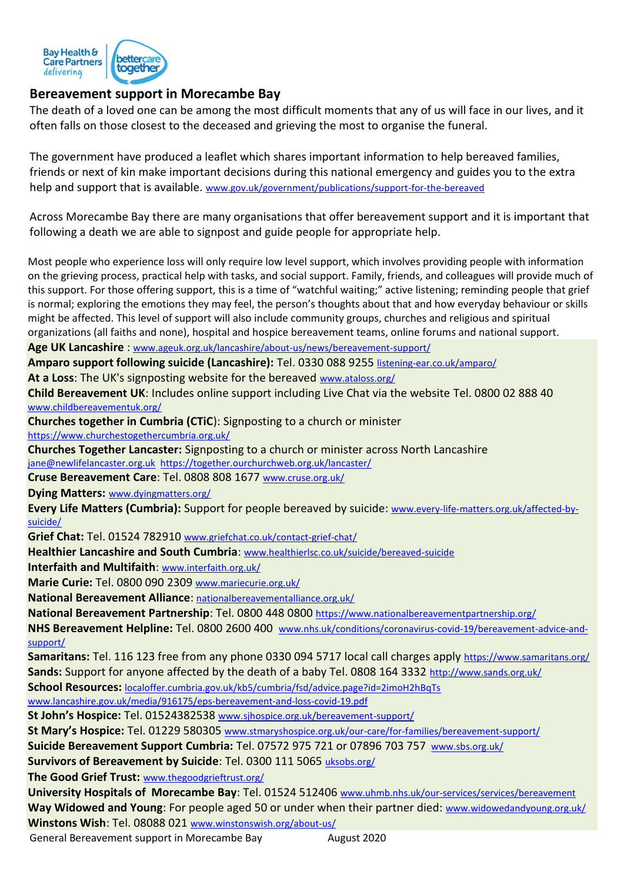

## **Bereavement support in Morecambe Bay**

The death of a loved one can be among the most difficult moments that any of us will face in our lives, and it often falls on those closest to the deceased and grieving the most to organise the funeral.

The government have produced a leaflet which shares important information to help bereaved families, friends or next of kin make important decisions during this national emergency and guides you to the extra help and support that is available. [www.gov.uk/government/publications/support-for-the-bereaved](http://www.gov.uk/government/publications/support-for-the-bereaved)

Across Morecambe Bay there are many organisations that offer bereavement support and it is important that following a death we are able to signpost and guide people for appropriate help.

Most people who experience loss will only require low level support, which involves providing people with information on the grieving process, practical help with tasks, and social support. Family, friends, and colleagues will provide much of this support. For those offering support, this is a time of "watchful waiting;" active listening; reminding people that grief is normal; exploring the emotions they may feel, the person's thoughts about that and how everyday behaviour or skills might be affected. This level of support will also include community groups, churches and religious and spiritual organizations (all faiths and none), hospital and hospice bereavement teams, online forums and national support. **Age UK Lancashire** : [www.ageuk.org.uk/lancashire/about-us/news/bereavement-support/](http://www.ageuk.org.uk/lancashire/about-us/news/bereavement-support/)

**Amparo support following suicide (Lancashire):** Tel. 0330 088 9255 [listening-ear.co.uk/amparo/](https://listening-ear.co.uk/amparo/)

**At a Loss**: The UK's signposting website for the bereaved [www.ataloss.org/](http://www.ataloss.org/)

**Child Bereavement UK**: Includes online support including Live Chat via the website Tel. 0800 02 888 40 [www.childbereavementuk.org/](http://www.childbereavementuk.org/)

**Churches together in Cumbria (CTiC**): Signposting to a church or minister

<https://www.churchestogethercumbria.org.uk/>

**Churches Together Lancaster:** Signposting to a church or minister across North Lancashire [jane@newlifelancaster.org.uk](mailto:jane@newlifelancaster.org.uk) <https://together.ourchurchweb.org.uk/lancaster/>

**Cruse Bereavement Care**: Tel. 0808 808 1677 [www.cruse.org.uk/](http://www.cruse.org.uk/)

**Dying Matters:** [www.dyingmatters.org/](http://www.dyingmatters.org/)

**Every Life Matters (Cumbria):** Support for people bereaved by suicide: [www.every-life-matters.org.uk/affected-by](http://www.every-life-matters.org.uk/affected-by-suicide/)[suicide/](http://www.every-life-matters.org.uk/affected-by-suicide/)

**Grief Chat:** Tel. 01524 782910 [www.griefchat.co.uk/contact-grief-chat/](http://www.griefchat.co.uk/contact-grief-chat/)

**Healthier Lancashire and South Cumbria**: [www.healthierlsc.co.uk/suicide/bereaved-suicide](http://www.healthierlsc.co.uk/suicide/bereaved-suicide)

**Interfaith and Multifaith**: [www.interfaith.org.uk/](http://www.interfaith.org.uk/)

**Marie Curie:** Tel. 0800 090 2309 [www.mariecurie.org.uk/](http://www.mariecurie.org.uk/)

**National Bereavement Alliance**: [nationalbereavementalliance.org.uk/](https://nationalbereavementalliance.org.uk/)

**National Bereavement Partnership**: Tel. 0800 448 0800 <https://www.nationalbereavementpartnership.org/>

**NHS Bereavement Helpline:** Tel. 0800 2600 400 [www.nhs.uk/conditions/coronavirus-covid-19/bereavement-advice-and](http://www.nhs.uk/conditions/coronavirus-covid-19/bereavement-advice-and-support/)[support/](http://www.nhs.uk/conditions/coronavirus-covid-19/bereavement-advice-and-support/)

**Samaritans:** Tel. 116 123 free from any phone 0330 094 5717 local call charges apply <https://www.samaritans.org/> **Sands:** Support for anyone affected by the death of a baby Tel. 0808 164 3332 <http://www.sands.org.uk/>

**School Resources:** [localoffer.cumbria.gov.uk/kb5/cumbria/fsd/advice.page?id=2imoH2hBqTs](file://///canlrli-vlnccg2/LNCCG/Community%20Services%20Development%202018%20onwards/Coronavirus%20(Covid%2019)/Covid-19%20End%20of%20Life/localoffer.cumbria.gov.uk/kb5/cumbria/fsd/advice.page%3fid=2imoH2hBqTs)

[www.lancashire.gov.uk/media/916175/eps-bereavement-and-loss-covid-19.pdf](http://www.lancashire.gov.uk/media/916175/eps-bereavement-and-loss-covid-19.pdf)

**St John's Hospice:** Tel. 01524382538 www.sjhospice.org.uk/bereavement-support/

**St Mary's Hospice:** Tel. 01229 580305 [www.stmaryshospice.org.uk/our-care/for-families/bereavement-support/](http://www.stmaryshospice.org.uk/our-care/for-families/bereavement-support/)

**Suicide Bereavement Support Cumbria:** Tel. 07572 975 721 or 07896 703 757 [www.sbs.org.uk/](http://www.sbs.org.uk/)

**Survivors of Bereavement by Suicide**: Tel. 0300 111 5065 [uksobs.org/](https://uksobs.org/)

**The Good Grief Trust:** [www.thegoodgrieftrust.org/](http://www.thegoodgrieftrust.org/)

**University Hospitals of Morecambe Bay**: Tel. 01524 512406 [www.uhmb.nhs.uk/our-services/services/bereavement](http://www.uhmb.nhs.uk/our-services/services/bereavement) Way Widowed and Young: For people aged 50 or under when their partner died: [www.widowedandyoung.org.uk/](http://www.widowedandyoung.org.uk/) **Winstons Wish**: Tel. 08088 021 [www.winstonswish.org/about-us/](http://www.winstonswish.org/about-us/)